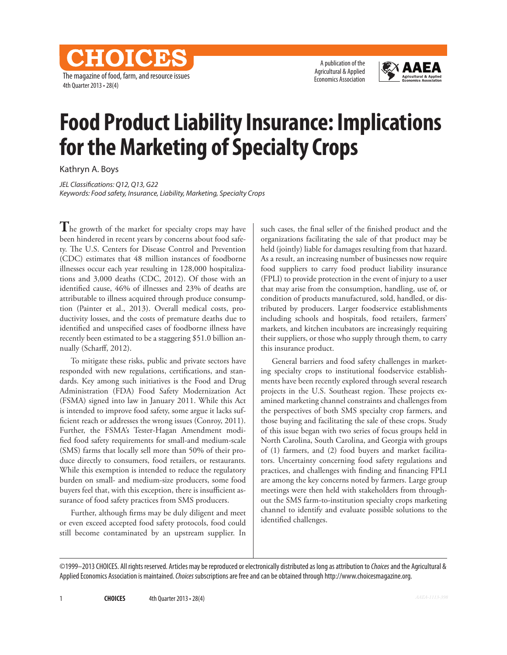The magazine of food, farm, and resource issues 4th Quarter 2013 • 28(4)

CHOICES

A publication of the Agricultural & Applied Economics Association



# **Food Product Liability Insurance: Implications for the Marketing of Specialty Crops**

Kathryn A. Boys

*JEL Classifications: Q12, Q13, G22 Keywords: Food safety, Insurance, Liability, Marketing, Specialty Crops*

The growth of the market for specialty crops may have been hindered in recent years by concerns about food safety. The U.S. Centers for Disease Control and Prevention (CDC) estimates that 48 million instances of foodborne illnesses occur each year resulting in 128,000 hospitalizations and 3,000 deaths (CDC, 2012). Of those with an identified cause, 46% of illnesses and 23% of deaths are attributable to illness acquired through produce consumption (Painter et al., 2013). Overall medical costs, productivity losses, and the costs of premature deaths due to identified and unspecified cases of foodborne illness have recently been estimated to be a staggering \$51.0 billion annually (Scharff, 2012).

To mitigate these risks, public and private sectors have responded with new regulations, certifications, and standards. Key among such initiatives is the Food and Drug Administration (FDA) Food Safety Modernization Act (FSMA) signed into law in January 2011. While this Act is intended to improve food safety, some argue it lacks sufficient reach or addresses the wrong issues (Conroy, 2011). Further, the FSMA's Tester-Hagan Amendment modified food safety requirements for small-and medium-scale (SMS) farms that locally sell more than 50% of their produce directly to consumers, food retailers, or restaurants. While this exemption is intended to reduce the regulatory burden on small- and medium-size producers, some food buyers feel that, with this exception, there is insufficient assurance of food safety practices from SMS producers.

Further, although firms may be duly diligent and meet or even exceed accepted food safety protocols, food could still become contaminated by an upstream supplier. In such cases, the final seller of the finished product and the organizations facilitating the sale of that product may be held (jointly) liable for damages resulting from that hazard. As a result, an increasing number of businesses now require food suppliers to carry food product liability insurance (FPLI) to provide protection in the event of injury to a user that may arise from the consumption, handling, use of, or condition of products manufactured, sold, handled, or distributed by producers. Larger foodservice establishments including schools and hospitals, food retailers, farmers' markets, and kitchen incubators are increasingly requiring their suppliers, or those who supply through them, to carry this insurance product.

General barriers and food safety challenges in marketing specialty crops to institutional foodservice establishments have been recently explored through several research projects in the U.S. Southeast region. These projects examined marketing channel constraints and challenges from the perspectives of both SMS specialty crop farmers, and those buying and facilitating the sale of these crops. Study of this issue began with two series of focus groups held in North Carolina, South Carolina, and Georgia with groups of (1) farmers, and (2) food buyers and market facilitators. Uncertainty concerning food safety regulations and practices, and challenges with finding and financing FPLI are among the key concerns noted by farmers. Large group meetings were then held with stakeholders from throughout the SMS farm-to-institution specialty crops marketing channel to identify and evaluate possible solutions to the identified challenges.

<sup>©1999–2013</sup> CHOICES. All rights reserved. Articles may be reproduced or electronically distributed as long as attribution to *Choices* and the Agricultural & Applied Economics Association is maintained. *Choices* subscriptions are free and can be obtained through http://www.choicesmagazine.org.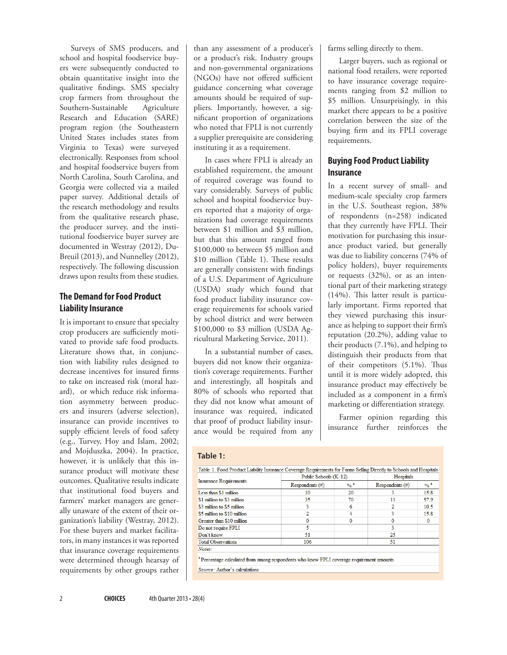Surveys of SMS producers, and school and hospital foodservice buyers were subsequently conducted to obtain quantitative insight into the qualitative findings. SMS specialty crop farmers from throughout the Southern-Sustainable Agriculture Research and Education (SARE) program region (the Southeastern United States includes states from Virginia to Texas) were surveyed electronically. Responses from school and hospital foodservice buyers from North Carolina, South Carolina, and Georgia were collected via a mailed paper survey. Additional details of the research methodology and results from the qualitative research phase, the producer survey, and the institutional foodservice buyer survey are documented in Westray (2012), Du-Breuil (2013), and Nunnelley (2012), respectively. The following discussion draws upon results from these studies.

# **The Demand for Food Product Liability Insurance**

It is important to ensure that specialty crop producers are sufficiently motivated to provide safe food products. Literature shows that, in conjunction with liability rules designed to decrease incentives for insured firms to take on increased risk (moral hazard), or which reduce risk information asymmetry between producers and insurers (adverse selection), insurance can provide incentives to supply efficient levels of food safety (e.g., Turvey, Hoy and Islam, 2002; and Mojduszka, 2004). In practice, however, it is unlikely that this insurance product will motivate these outcomes. Qualitative results indicate that institutional food buyers and farmers' market managers are generally unaware of the extent of their organization's liability (Westray, 2012). For these buyers and market facilitators, in many instances it was reported that insurance coverage requirements were determined through hearsay of requirements by other groups rather

than any assessment of a producer's or a product's risk. Industry groups and non-governmental organizations (NGOs) have not offered sufficient guidance concerning what coverage amounts should be required of suppliers. Importantly, however, a significant proportion of organizations who noted that FPLI is not currently a supplier prerequisite are considering instituting it as a requirement.

In cases where FPLI is already an established requirement, the amount of required coverage was found to vary considerably. Surveys of public school and hospital foodservice buyers reported that a majority of organizations had coverage requirements between \$1 million and \$3 million, but that this amount ranged from \$100,000 to between \$5 million and \$10 million (Table 1). These results are generally consistent with findings of a U.S. Department of Agriculture (USDA) study which found that food product liability insurance coverage requirements for schools varied by school district and were between \$100,000 to \$3 million (USDA Agricultural Marketing Service, 2011).

In a substantial number of cases, buyers did not know their organization's coverage requirements. Further and interestingly, all hospitals and 80% of schools who reported that they did not know what amount of insurance was required, indicated that proof of product liability insurance would be required from any

farms selling directly to them.

Larger buyers, such as regional or national food retailers, were reported to have insurance coverage requirements ranging from \$2 million to \$5 million. Unsurprisingly, in this market there appears to be a positive correlation between the size of the buying firm and its FPLI coverage requirements.

# **Buying Food Product Liability Insurance**

In a recent survey of small- and medium-scale specialty crop farmers in the U.S. Southeast region, 38% of respondents (n=258) indicated that they currently have FPLI. Their motivation for purchasing this insurance product varied, but generally was due to liability concerns (74% of policy holders), buyer requirements or requests (32%), or as an intentional part of their marketing strategy (14%). This latter result is particularly important. Firms reported that they viewed purchasing this insurance as helping to support their firm's reputation (20.2%), adding value to their products (7.1%), and helping to distinguish their products from that of their competitors (5.1%). Thus until it is more widely adopted, this insurance product may effectively be included as a component in a firm's marketing or differentiation strategy.

Farmer opinion regarding this insurance further reinforces the

#### **Table 1:**

| <b>Insurance Requirements</b>                                                                        | Public Schools (K-12) |                            | Hospitals          |                            |
|------------------------------------------------------------------------------------------------------|-----------------------|----------------------------|--------------------|----------------------------|
|                                                                                                      | $Respondents$ (#)     | $\frac{0}{6}$ <sup>3</sup> | Respondents $(\#)$ | $\frac{0}{6}$ <sup>a</sup> |
| Less than \$1 million                                                                                | 10                    | 20                         | 3                  | 15.8                       |
| \$1 million to \$3 million                                                                           | 35                    | 70                         | 11                 | 57.9                       |
| \$3 million to \$5 million                                                                           | 3                     | 6                          | $\overline{c}$     | 10 <sub>5</sub>            |
| \$5 million to \$10 million                                                                          | $\overline{2}$        | 4                          | 3                  | 15.8                       |
| Greater than \$10 million                                                                            | $\mathbf{0}$          | $\Omega$                   | $\Omega$           | $\Omega$                   |
| Do not require FPLI                                                                                  | 5                     |                            | 3                  |                            |
| Don't know                                                                                           | 51                    |                            | 25                 |                            |
| <b>Total Observations</b>                                                                            | 106                   |                            | 51                 |                            |
| Notes:                                                                                               |                       |                            |                    |                            |
| <sup>a</sup> Percentage calculated from among respondents who knew FPLI coverage requirement amounts |                       |                            |                    |                            |
| Source: Author's calculations                                                                        |                       |                            |                    |                            |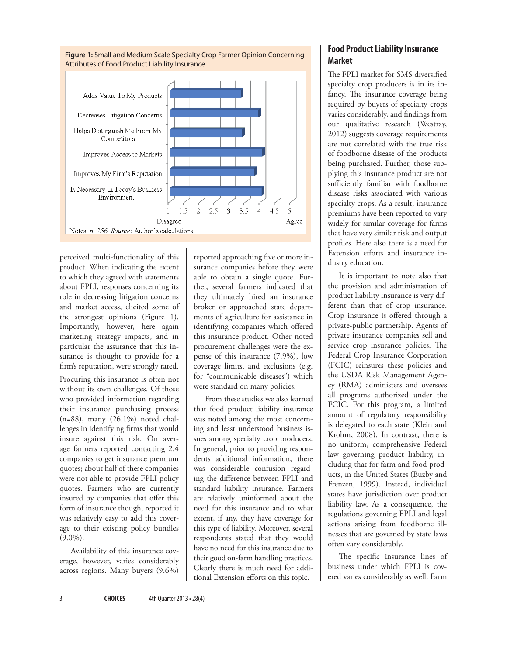

perceived multi-functionality of this product. When indicating the extent to which they agreed with statements about FPLI, responses concerning its role in decreasing litigation concerns and market access, elicited some of the strongest opinions (Figure 1). Importantly, however, here again marketing strategy impacts, and in particular the assurance that this insurance is thought to provide for a firm's reputation, were strongly rated.

Procuring this insurance is often not without its own challenges. Of those who provided information regarding their insurance purchasing process (n=88), many (26.1%) noted challenges in identifying firms that would insure against this risk. On average farmers reported contacting 2.4 companies to get insurance premium quotes; about half of these companies were not able to provide FPLI policy quotes. Farmers who are currently insured by companies that offer this form of insurance though, reported it was relatively easy to add this coverage to their existing policy bundles  $(9.0\%)$ .

Availability of this insurance coverage, however, varies considerably across regions. Many buyers (9.6%)

reported approaching five or more insurance companies before they were able to obtain a single quote. Further, several farmers indicated that they ultimately hired an insurance broker or approached state departments of agriculture for assistance in identifying companies which offered this insurance product. Other noted procurement challenges were the expense of this insurance (7.9%), low coverage limits, and exclusions (e.g. for "communicable diseases") which were standard on many policies.

From these studies we also learned that food product liability insurance was noted among the most concerning and least understood business issues among specialty crop producers. In general, prior to providing respondents additional information, there was considerable confusion regarding the difference between FPLI and standard liability insurance. Farmers are relatively uninformed about the need for this insurance and to what extent, if any, they have coverage for this type of liability. Moreover, several respondents stated that they would have no need for this insurance due to their good on-farm handling practices. Clearly there is much need for additional Extension efforts on this topic.

# **Food Product Liability Insurance Market**

The FPLI market for SMS diversified specialty crop producers is in its infancy. The insurance coverage being required by buyers of specialty crops varies considerably, and findings from our qualitative research (Westray, 2012) suggests coverage requirements are not correlated with the true risk of foodborne disease of the products being purchased. Further, those supplying this insurance product are not sufficiently familiar with foodborne disease risks associated with various specialty crops. As a result, insurance premiums have been reported to vary widely for similar coverage for farms that have very similar risk and output profiles. Here also there is a need for Extension efforts and insurance industry education.

It is important to note also that the provision and administration of product liability insurance is very different than that of crop insurance. Crop insurance is offered through a private-public partnership. Agents of private insurance companies sell and service crop insurance policies. The Federal Crop Insurance Corporation (FCIC) reinsures these policies and the USDA Risk Management Agency (RMA) administers and oversees all programs authorized under the FCIC. For this program, a limited amount of regulatory responsibility is delegated to each state (Klein and Krohm, 2008). In contrast, there is no uniform, comprehensive Federal law governing product liability, including that for farm and food products, in the United States (Buzby and Frenzen, 1999). Instead, individual states have jurisdiction over product liability law. As a consequence, the regulations governing FPLI and legal actions arising from foodborne illnesses that are governed by state laws often vary considerably.

The specific insurance lines of business under which FPLI is covered varies considerably as well. Farm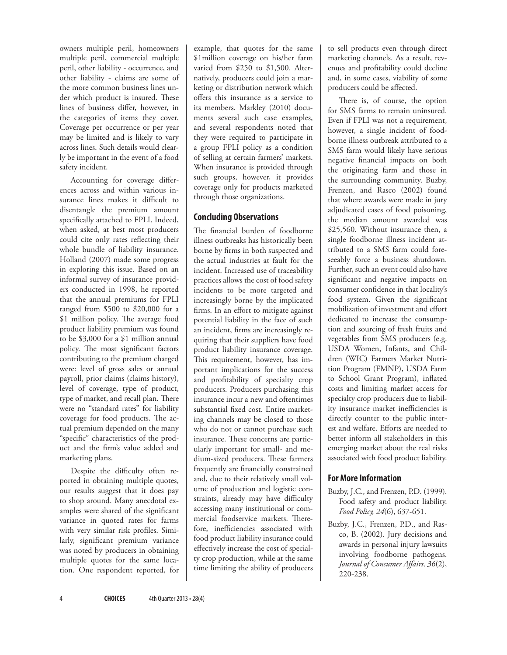owners multiple peril, homeowners multiple peril, commercial multiple peril, other liability - occurrence, and other liability - claims are some of the more common business lines under which product is insured. These lines of business differ, however, in the categories of items they cover. Coverage per occurrence or per year may be limited and is likely to vary across lines. Such details would clearly be important in the event of a food safety incident.

Accounting for coverage differences across and within various insurance lines makes it difficult to disentangle the premium amount specifically attached to FPLI. Indeed, when asked, at best most producers could cite only rates reflecting their whole bundle of liability insurance. Holland (2007) made some progress in exploring this issue. Based on an informal survey of insurance providers conducted in 1998, he reported that the annual premiums for FPLI ranged from \$500 to \$20,000 for a \$1 million policy. The average food product liability premium was found to be \$3,000 for a \$1 million annual policy. The most significant factors contributing to the premium charged were: level of gross sales or annual payroll, prior claims (claims history), level of coverage, type of product, type of market, and recall plan. There were no "standard rates" for liability coverage for food products. The actual premium depended on the many "specific" characteristics of the product and the firm's value added and marketing plans.

Despite the difficulty often reported in obtaining multiple quotes, our results suggest that it does pay to shop around. Many anecdotal examples were shared of the significant variance in quoted rates for farms with very similar risk profiles. Similarly, significant premium variance was noted by producers in obtaining multiple quotes for the same location. One respondent reported, for example, that quotes for the same \$1million coverage on his/her farm varied from \$250 to \$1,500. Alternatively, producers could join a marketing or distribution network which offers this insurance as a service to its members. Markley (2010) documents several such case examples, and several respondents noted that they were required to participate in a group FPLI policy as a condition of selling at certain farmers' markets. When insurance is provided through such groups, however, it provides coverage only for products marketed through those organizations.

### **Concluding Observations**

The financial burden of foodborne illness outbreaks has historically been borne by firms in both suspected and the actual industries at fault for the incident. Increased use of traceability practices allows the cost of food safety incidents to be more targeted and increasingly borne by the implicated firms. In an effort to mitigate against potential liability in the face of such an incident, firms are increasingly requiring that their suppliers have food product liability insurance coverage. This requirement, however, has important implications for the success and profitability of specialty crop producers. Producers purchasing this insurance incur a new and oftentimes substantial fixed cost. Entire marketing channels may be closed to those who do not or cannot purchase such insurance. These concerns are particularly important for small- and medium-sized producers. These farmers frequently are financially constrained and, due to their relatively small volume of production and logistic constraints, already may have difficulty accessing many institutional or commercial foodservice markets. Therefore, inefficiencies associated with food product liability insurance could effectively increase the cost of specialty crop production, while at the same time limiting the ability of producers

to sell products even through direct marketing channels. As a result, revenues and profitability could decline and, in some cases, viability of some producers could be affected.

There is, of course, the option for SMS farms to remain uninsured. Even if FPLI was not a requirement, however, a single incident of foodborne illness outbreak attributed to a SMS farm would likely have serious negative financial impacts on both the originating farm and those in the surrounding community. Buzby, Frenzen, and Rasco (2002) found that where awards were made in jury adjudicated cases of food poisoning, the median amount awarded was \$25,560. Without insurance then, a single foodborne illness incident attributed to a SMS farm could foreseeably force a business shutdown. Further, such an event could also have significant and negative impacts on consumer confidence in that locality's food system. Given the significant mobilization of investment and effort dedicated to increase the consumption and sourcing of fresh fruits and vegetables from SMS producers (e.g. USDA Women, Infants, and Children (WIC) Farmers Market Nutrition Program (FMNP), USDA Farm to School Grant Program), inflated costs and limiting market access for specialty crop producers due to liability insurance market inefficiencies is directly counter to the public interest and welfare. Efforts are needed to better inform all stakeholders in this emerging market about the real risks associated with food product liability.

# **For More Information**

- Buzby, J.C., and Frenzen, P.D. (1999). Food safety and product liability. *Food Policy, 24*(6), 637-651.
- Buzby, J.C., Frenzen, P.D., and Rasco, B. (2002). Jury decisions and awards in personal injury lawsuits involving foodborne pathogens. *Journal of Consumer Affairs, 36*(2), 220-238.